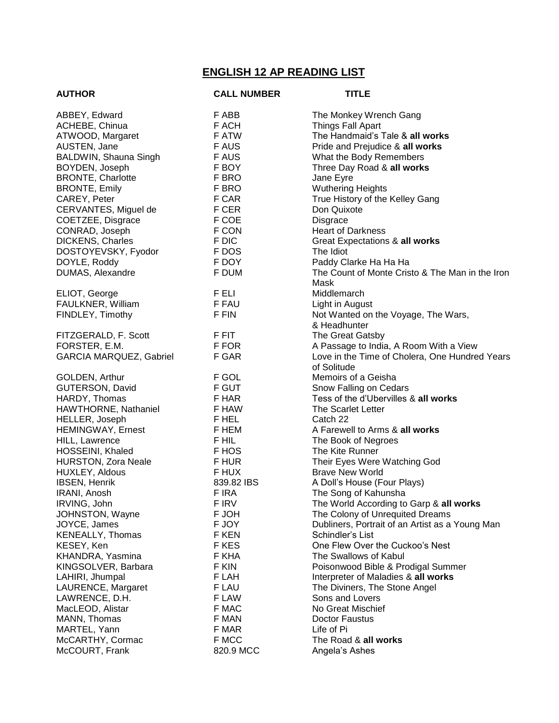## **ENGLISH 12 AP READING LIST**

| <b>AUTHOR</b>              | <b>CALL NUMBER</b> | <b>TITLE</b>                                    |
|----------------------------|--------------------|-------------------------------------------------|
| ABBEY, Edward              | F ABB              | The Monkey Wrench Gang                          |
| ACHEBE, Chinua             | F ACH              | Things Fall Apart                               |
| ATWOOD, Margaret           | F ATW              | The Handmaid's Tale & all works                 |
| AUSTEN, Jane               | <b>FAUS</b>        | Pride and Prejudice & all works                 |
| BALDWIN, Shauna Singh      | <b>FAUS</b>        | What the Body Remembers                         |
| BOYDEN, Joseph             | F BOY              | Three Day Road & all works                      |
| <b>BRONTE, Charlotte</b>   | F BRO              | Jane Eyre                                       |
| <b>BRONTE, Emily</b>       | F BRO              | <b>Wuthering Heights</b>                        |
| CAREY, Peter               | F CAR              | True History of the Kelley Gang                 |
| CERVANTES, Miguel de       | F CER              | Don Quixote                                     |
| COETZEE, Disgrace          | F COE              | <b>Disgrace</b>                                 |
| CONRAD, Joseph             | F CON              | <b>Heart of Darkness</b>                        |
| <b>DICKENS, Charles</b>    | F DIC              | Great Expectations & all works                  |
| DOSTOYEVSKY, Fyodor        | F DOS              | The Idiot                                       |
| DOYLE, Roddy               | F DOY              | Paddy Clarke Ha Ha Ha                           |
| DUMAS, Alexandre           | F DUM              | The Count of Monte Cristo & The Man in the Iron |
|                            |                    | Mask                                            |
| ELIOT, George              | F ELI              | Middlemarch                                     |
| FAULKNER, William          | F FAU              | Light in August                                 |
| FINDLEY, Timothy           | F FIN              | Not Wanted on the Voyage, The Wars,             |
|                            |                    | & Headhunter                                    |
| FITZGERALD, F. Scott       | F FIT              | The Great Gatsby                                |
| FORSTER, E.M.              | F FOR              | A Passage to India, A Room With a View          |
| GARCIA MARQUEZ, Gabriel    | F GAR              | Love in the Time of Cholera, One Hundred Years  |
|                            |                    | of Solitude                                     |
| GOLDEN, Arthur             | F GOL              | Memoirs of a Geisha                             |
| GUTERSON, David            | F GUT              | Snow Falling on Cedars                          |
| HARDY, Thomas              | F HAR              | Tess of the d'Ubervilles & all works            |
| HAWTHORNE, Nathaniel       | F HAW              | The Scarlet Letter                              |
| HELLER, Joseph             | F HEL              | Catch 22                                        |
| <b>HEMINGWAY, Ernest</b>   | F HEM              | A Farewell to Arms & all works                  |
| HILL, Lawrence             | F HIL              | The Book of Negroes                             |
| HOSSEINI, Khaled           | F HOS              | The Kite Runner                                 |
| <b>HURSTON, Zora Neale</b> | F HUR              | Their Eyes Were Watching God                    |
| HUXLEY, Aldous             | F HUX              | <b>Brave New World</b>                          |
| <b>IBSEN, Henrik</b>       | 839.82 IBS         | A Doll's House (Four Plays)                     |
| IRANI, Anosh               | F IRA              | The Song of Kahunsha                            |
| IRVING, John               | F IRV              | The World According to Garp & all works         |
| JOHNSTON, Wayne            | F JOH              | The Colony of Unrequited Dreams                 |
| JOYCE, James               | F JOY              | Dubliners, Portrait of an Artist as a Young Man |
| KENEALLY, Thomas           | F KEN              | Schindler's List                                |
| KESEY, Ken                 | F KES              | One Flew Over the Cuckoo's Nest                 |
| KHANDRA, Yasmina           | F KHA              | The Swallows of Kabul                           |
| KINGSOLVER, Barbara        | F KIN              | Poisonwood Bible & Prodigal Summer              |
| LAHIRI, Jhumpal            | F LAH              | Interpreter of Maladies & all works             |
| LAURENCE, Margaret         | F LAU              | The Diviners, The Stone Angel                   |
| LAWRENCE, D.H.             | F LAW              | Sons and Lovers                                 |
| MacLEOD, Alistar           | F MAC              | No Great Mischief                               |
| MANN, Thomas               | F MAN              | Doctor Faustus                                  |
| MARTEL, Yann               | F MAR              | Life of Pi                                      |
| McCARTHY, Cormac           | F MCC              | The Road & all works                            |
| McCOURT, Frank             | 820.9 MCC          | Angela's Ashes                                  |